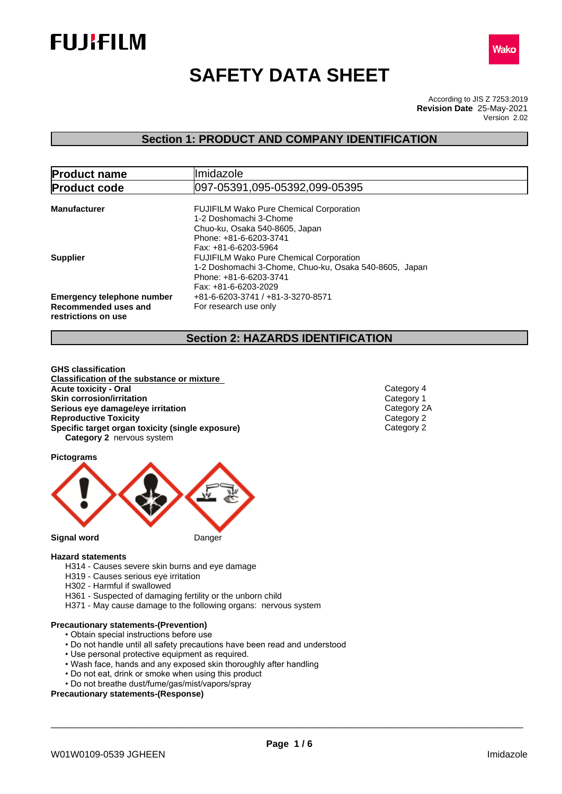



# **SAFETY DATA SHEET**

According to JIS Z 7253:2019 Version 2.02 **Revision Date** 25-May-2021

### **Section 1: PRODUCT AND COMPANY IDENTIFICATION**

| <b>Product name</b>                                                              | llmidazole                                                                                                                                                                         |  |  |  |
|----------------------------------------------------------------------------------|------------------------------------------------------------------------------------------------------------------------------------------------------------------------------------|--|--|--|
| <b>Product code</b>                                                              | 097-05391,095-05392,099-05395                                                                                                                                                      |  |  |  |
| <b>Manufacturer</b>                                                              | <b>FUJIFILM Wako Pure Chemical Corporation</b><br>1-2 Doshomachi 3-Chome<br>Chuo-ku, Osaka 540-8605, Japan<br>Phone: +81-6-6203-3741                                               |  |  |  |
| <b>Supplier</b>                                                                  | Fax: +81-6-6203-5964<br><b>FUJIFILM Wako Pure Chemical Corporation</b><br>1-2 Doshomachi 3-Chome, Chuo-ku, Osaka 540-8605, Japan<br>Phone: +81-6-6203-3741<br>Fax: +81-6-6203-2029 |  |  |  |
| <b>Emergency telephone number</b><br>Recommended uses and<br>restrictions on use | +81-6-6203-3741 / +81-3-3270-8571<br>For research use only                                                                                                                         |  |  |  |

### **Section 2: HAZARDS IDENTIFICATION**

**GHS classification Classification of the substance or mixture Acute toxicity - Oral** Category 4<br> **Skin corrosion/irritation**<br>
Category 1 **Skin corrosion/irritation**<br> **Serious eye damage/eye irritation**<br>
Category 2A **Serious eye damage/eye irritation**<br> **Reproductive Toxicity**<br>
Category 2 **Reproductive Toxicity<br>
<b>Specific target organ toxicity (single exposure)**<br>
Category 2 **Specific target organ toxicity (single exposure) Category 2** nervous system

**Pictograms**



#### **Hazard statements**

- H314 Causes severe skin burns and eye damage
- H319 Causes serious eye irritation
- H302 Harmful if swallowed
- H361 Suspected of damaging fertility or the unborn child
- H371 May cause damage to the following organs: nervous system

### **Precautionary statements-(Prevention)**

- Obtain special instructions before use
- Do not handle until all safety precautions have been read and understood
- Use personal protective equipment as required.
- Wash face, hands and any exposed skin thoroughly after handling
- Do not eat, drink or smoke when using this product
- Do not breathe dust/fume/gas/mist/vapors/spray

#### **Precautionary statements-(Response)**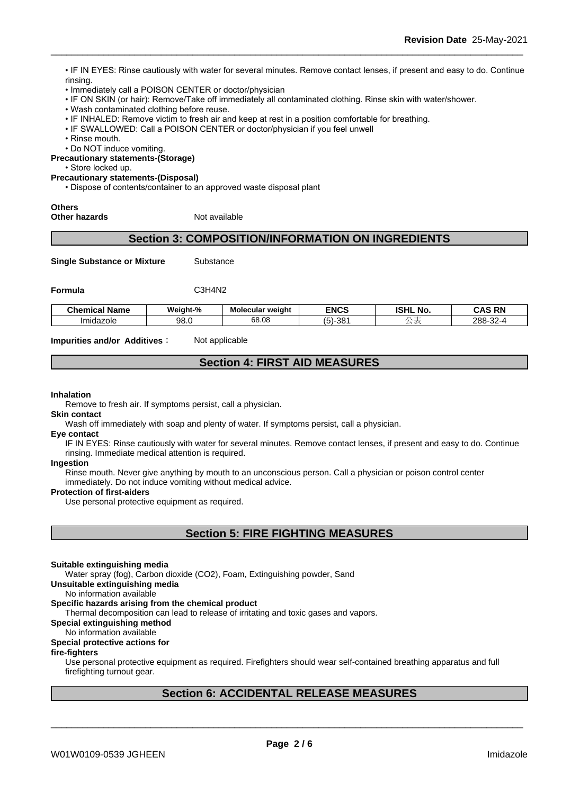• IF IN EYES: Rinse cautiously with water for several minutes. Remove contact lenses, if present and easy to do. Continue rinsing.

- Immediately call a POISON CENTER or doctor/physician
- IF ON SKIN (or hair): Remove/Take off immediately all contaminated clothing. Rinse skin with water/shower.
- Wash contaminated clothing before reuse.
- IF INHALED: Remove victim to fresh air and keep at rest in a position comfortable for breathing.
- IF SWALLOWED: Call a POISON CENTER or doctor/physician if you feel unwell
- Rinse mouth.
- Do NOT induce vomiting.

**Precautionary statements-(Storage)**

• Store locked up.

#### **Precautionary statements-(Disposal)**

• Dispose of contents/container to an approved waste disposal plant

## **Others**

**Other hazards** Not available

### **Section 3: COMPOSITION/INFORMATION ON INGREDIENTS**

**Single Substance or Mixture** Substance

**Formula** C3H4N2

| Chemical<br>' Name | Weight-% | <b>Molecular weight</b> | <b>ENCS</b>       | $\sim$ $\sim$<br>וניסו<br>. NO<br>IƏNL | - - - - - -<br>DN.<br>--<br>. |
|--------------------|----------|-------------------------|-------------------|----------------------------------------|-------------------------------|
| Imidazole          | 98.0     | $\alpha$<br>c0<br>oo.uc | 20<br>- ان<br>טט־ |                                        | $\sim$<br>288-<br>-52-C       |

**Impurities and/or Additives:** Not applicable

### **Section 4: FIRST AID MEASURES**

#### **Inhalation**

Remove to fresh air. If symptoms persist, call a physician.

#### **Skin contact**

Wash off immediately with soap and plenty of water. If symptoms persist, calla physician.

#### **Eye contact**

IF IN EYES: Rinse cautiously with water for several minutes. Remove contact lenses, if present and easy to do. Continue rinsing. Immediate medical attention is required.

#### **Ingestion**

Rinse mouth. Never give anything by mouth to an unconscious person. Call a physician or poison control center immediately. Do not induce vomiting without medical advice.

#### **Protection of first-aiders**

Use personal protective equipment as required.

| <b>Section 5: FIRE FIGHTING MEASURES</b> |
|------------------------------------------|
|------------------------------------------|

#### **Suitable extinguishing media**

Water spray (fog), Carbon dioxide (CO2), Foam, Extinguishing powder, Sand

**Unsuitable extinguishing media**

No information available

#### **Specific hazards arising from the chemical product**

Thermal decomposition can lead to release of irritating and toxic gases and vapors.

#### **Special extinguishing method**

### No information available

#### **Special protective actions for**

#### **fire-fighters**

Use personal protective equipment as required.Firefighters should wear self-contained breathing apparatus and full firefighting turnout gear.

### **Section 6: ACCIDENTAL RELEASE MEASURES**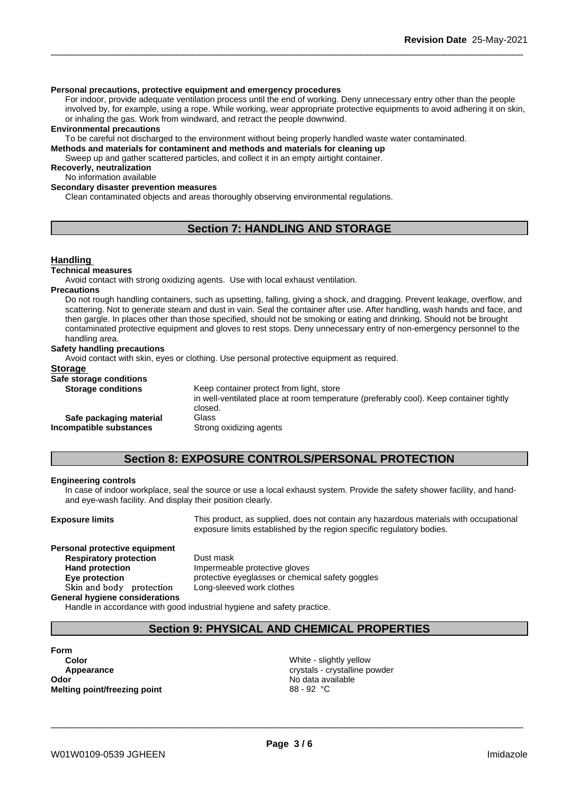#### **Personal precautions, protective equipment and emergency procedures**

For indoor, provide adequate ventilation process until the end of working. Deny unnecessary entry other than the people involved by, for example, using a rope. While working, wear appropriate protective equipments to avoid adhering it on skin, or inhaling the gas. Work from windward, and retract the people downwind.

#### **Environmental precautions**

To be careful not discharged to the environment without being properly handled waste water contaminated.

**Methods and materials for contaminent and methods and materials for cleaning up**

Sweep up and gather scattered particles, and collect it in an empty airtight container.

**Recoverly, neutralization** No information available

#### **Secondary disaster prevention measures**

Clean contaminated objects and areas thoroughly observing environmental regulations.

### **Section 7: HANDLING AND STORAGE**

#### **Handling**

#### **Technical measures**

Avoid contact with strong oxidizing agents. Use with local exhaust ventilation.

#### **Precautions**

Do not rough handling containers, such as upsetting, falling, giving a shock, and dragging. Prevent leakage, overflow, and scattering. Not to generate steam and dust in vain. Seal the container after use. After handling, wash hands and face, and then gargle. In places other than those specified, should not be smoking or eating and drinking. Should not be brought contaminated protective equipment and gloves to rest stops. Deny unnecessary entry of non-emergency personnel to the handling area.

#### **Safety handling precautions**

Avoid contact with skin, eyes or clothing. Use personal protective equipment as required.

### **Storage**

| Safe storage conditions   |                                                                                                   |
|---------------------------|---------------------------------------------------------------------------------------------------|
| <b>Storage conditions</b> | Keep container protect from light, store                                                          |
|                           | in well-ventilated place at room temperature (preferably cool). Keep container tightly<br>closed. |
| Safe packaging material   | Glass                                                                                             |
| Incompatible substances   | Strong oxidizing agents                                                                           |
|                           |                                                                                                   |

### **Section 8: EXPOSURE CONTROLS/PERSONAL PROTECTION**

#### **Engineering controls**

In case of indoor workplace, seal the source or use a local exhaust system. Provide the safety shower facility, and handand eye-wash facility. And display their position clearly.

**Exposure limits** This product, as supplied, does not contain any hazardous materials with occupational exposure limits established by the region specific regulatory bodies.

### **Personal protective equipment Respiratory protection** Dust mask **Hand protection** Impermeable protective gloves **Skinandbody protection** Long-sleeved work clothes

**Eye protection Eye protective eyeglasses or chemical safety goggles** 

#### **General hygiene considerations**

Handle in accordance with good industrial hygiene and safety practice.

### **Section 9: PHYSICAL AND CHEMICAL PROPERTIES**

### **Form Color** White - slightly yellow **Odor** No data available **No data available Melting point/freezing point** 88 - 92 °C

**Appearance** crystals - crystalline powder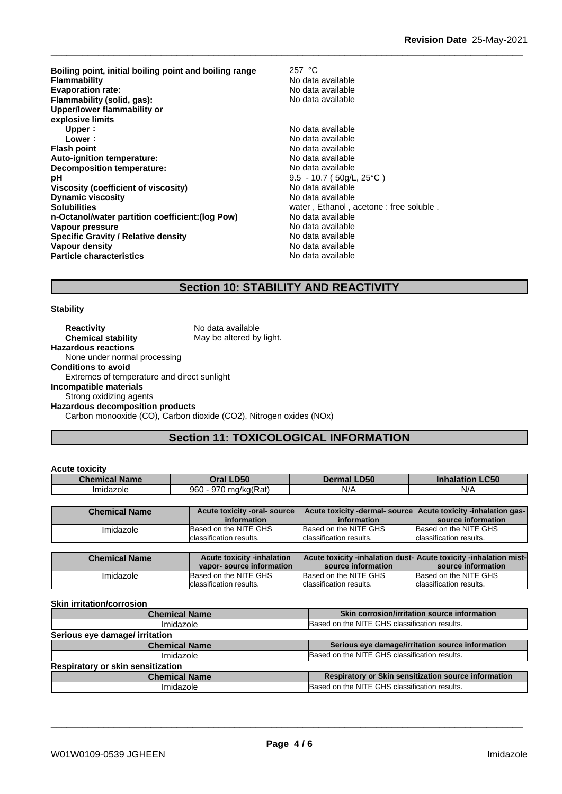**Boiling point, initial boiling point and boiling range** 257 °C **Evaporation rate:**<br> **Flammability (solid, gas):** No data available **Flammability (solid, gas):** No data available **Flammability** (solid, gas): **Upper/lower flammability or explosive limits Upper :** No data available<br> **Lower :** No data available<br>
No data available **Flash point No data available Auto-ignition temperature:** No data available **Decomposition temperature:**<br> **pH** 9.5 - 10.7 (50a/L **Viscosity (coefficient of viscosity)** No data available **Dynamic viscosity** No data available **Solubilities** Solubilities **Solubilities** water, Ethanol, acetone : free soluble . **n-Octanol/water partition coefficient:(log Pow) No data available Vapour pressure**<br> **Specific Gravity / Relative density**<br> **Specific Gravity / Relative density**<br> **No data available Specific Gravity / Relative density<br>Vapour density Particle characteristics** No data available

No data available<br>No data available **Lower:** No data available 9.5 - 10.7 ( 50g/L, 25°C ) **No data available** 

### **Section 10: STABILITY AND REACTIVITY**

#### **Stability**

**Reactivity** No data available **Chemical stability** May be altered by light. **Hazardous reactions** None under normal processing **Conditions to avoid** Extremes of temperature and direct sunlight **Incompatible materials** Strong oxidizing agents **Hazardous decomposition products** Carbon monooxide (CO), Carbon dioxide (CO2), Nitrogen oxides (NOx)

### **Section 11: TOXICOLOGICAL INFORMATION**

| <b>Acute toxicity</b> |                                                               |                                                                                        |                                                       |
|-----------------------|---------------------------------------------------------------|----------------------------------------------------------------------------------------|-------------------------------------------------------|
| <b>Chemical Name</b>  | Oral LD50                                                     | <b>Dermal LD50</b>                                                                     | <b>Inhalation LC50</b>                                |
| Imidazole             | 960 - 970 mg/kg(Rat)                                          | N/A                                                                                    | N/A                                                   |
|                       |                                                               |                                                                                        |                                                       |
| <b>Chemical Name</b>  | Acute toxicity -oral- source<br>information                   | Acute toxicity -dermal- source<br>information                                          | Acute toxicity -inhalation gas-<br>source information |
| Imidazole             | Based on the NITE GHS<br>Iclassification results.             | Based on the NITE GHS<br>classification results.                                       | Based on the NITE GHS<br>lclassification results.     |
|                       |                                                               |                                                                                        |                                                       |
| <b>Chemical Name</b>  | <b>Acute toxicity -inhalation</b><br>vapor-source information | Acute toxicity -inhalation dust-Acute toxicity -inhalation mist-<br>source information | source information                                    |
| Imidazole             | Based on the NITE GHS<br>classification results.              | Based on the NITE GHS<br>classification results.                                       | Based on the NITE GHS<br>classification results.      |

#### **Skin irritation/corrosion**

| <b>Chemical Name</b>              | Skin corrosion/irritation source information         |  |
|-----------------------------------|------------------------------------------------------|--|
| Imidazole                         | Based on the NITE GHS classification results.        |  |
| Serious eye damage/ irritation    |                                                      |  |
| <b>Chemical Name</b>              | Serious eye damage/irritation source information     |  |
| Imidazole                         | Based on the NITE GHS classification results.        |  |
| Respiratory or skin sensitization |                                                      |  |
| <b>Chemical Name</b>              | Respiratory or Skin sensitization source information |  |
| Imidazole                         | Based on the NITE GHS classification results.        |  |
|                                   |                                                      |  |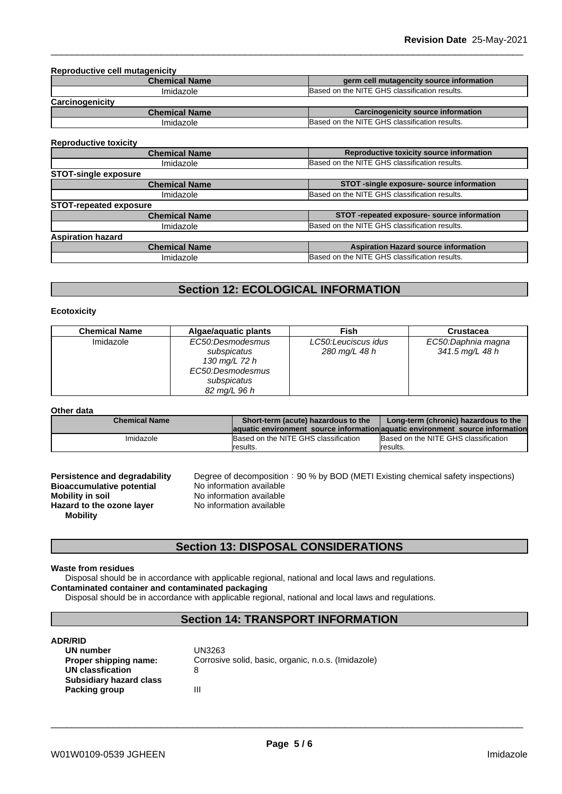**Reproductive cell mutagenicity**

| nownouuvu vo oon muuuvumon v |                                               |
|------------------------------|-----------------------------------------------|
| <b>Chemical Name</b>         | germ cell mutagencity source information      |
| Imidazole                    | Based on the NITE GHS classification results. |
| Carcinogenicity              |                                               |
| Chamisal Name                | Caraingagniaity course information            |

| Chemical Name | Carcinogenicity source information                 |  |
|---------------|----------------------------------------------------|--|
| Imidazole     | d on the NITE GHS classification results.<br>Based |  |
|               |                                                    |  |

### **Reproductive toxicity**

| <b>Chemical Name</b>          | Reproductive toxicity source information      |  |
|-------------------------------|-----------------------------------------------|--|
| Imidazole                     | Based on the NITE GHS classification results. |  |
| <b>STOT-single exposure</b>   |                                               |  |
| <b>Chemical Name</b>          | STOT -single exposure- source information     |  |
| Imidazole                     | Based on the NITE GHS classification results. |  |
| <b>STOT-repeated exposure</b> |                                               |  |
| <b>Chemical Name</b>          | STOT-repeated exposure- source information    |  |
| Imidazole                     | Based on the NITE GHS classification results. |  |
| <b>Aspiration hazard</b>      |                                               |  |
| <b>Chemical Name</b>          | <b>Aspiration Hazard source information</b>   |  |
| Imidazole                     | Based on the NITE GHS classification results. |  |

### **Section 12: ECOLOGICAL INFORMATION**

#### **Ecotoxicity**

| <b>Chemical Name</b> | Algae/aguatic plants                                                                                | <b>Fish</b>                          | <b>Crustacea</b>                      |
|----------------------|-----------------------------------------------------------------------------------------------------|--------------------------------------|---------------------------------------|
| Imidazole            | EC50:Desmodesmus<br>subspicatus<br>130 mg/L 72 h<br>EC50:Desmodesmus<br>subspicatus<br>82 mg/L 96 h | LC50:Leuciscus idus<br>280 mg/L 48 h | EC50:Daphnia magna<br>341.5 mg/L 48 h |

#### **Other data**

| <b>Chemical Name</b> | Short-term (acute) hazardous to the  | Long-term (chronic) hazardous to the                                          |
|----------------------|--------------------------------------|-------------------------------------------------------------------------------|
|                      |                                      | aquatic environment source information aquatic environment source information |
| Imidazole            | Based on the NITE GHS classification | Based on the NITE GHS classification                                          |
|                      | Iresults.                            | results.                                                                      |

| <b>Persistence and degradability</b> |
|--------------------------------------|
| <b>Bioaccumulative potential</b>     |
| <b>Mobility in soil</b>              |
| Hazard to the ozone layer            |
| <b>Mobility</b>                      |

**Pegree of decomposition: 90 % by BOD (METI Existing chemical safety inspections) No information available Mobility in soil** No information available **Hazard to the ozone layer** No information available

### **Section 13: DISPOSAL CONSIDERATIONS**

#### **Waste from residues**

Disposal should be in accordance with applicable regional, national and local laws and regulations. **Contaminated container and contaminated packaging**

Disposal should be in accordance with applicable regional, national and local laws and regulations.

### **Section 14: TRANSPORT INFORMATION**

#### **ADR/RID**

| UN number                      | UN3263                                              |
|--------------------------------|-----------------------------------------------------|
| Proper shipping name:          | Corrosive solid, basic, organic, n.o.s. (Imidazole) |
| UN classfication               | 8                                                   |
| <b>Subsidiary hazard class</b> |                                                     |
| Packing group                  | Ш                                                   |